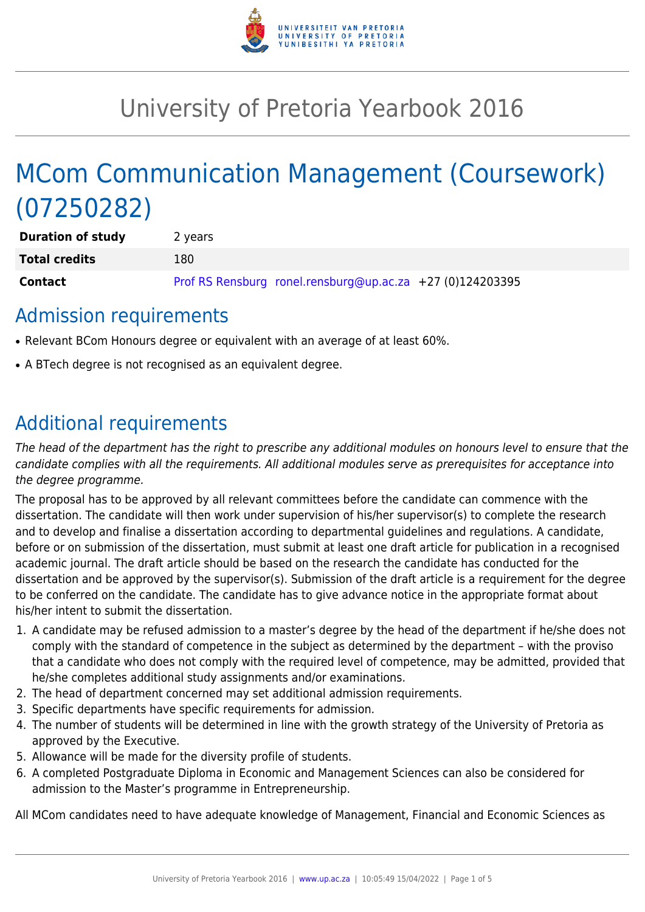

# University of Pretoria Yearbook 2016

# MCom Communication Management (Coursework) (07250282)

| <b>Duration of study</b> | 2 years                                                   |
|--------------------------|-----------------------------------------------------------|
| <b>Total credits</b>     | 180.                                                      |
| <b>Contact</b>           | Prof RS Rensburg ronel.rensburg@up.ac.za +27 (0)124203395 |

### Admission requirements

- Relevant BCom Honours degree or equivalent with an average of at least 60%.
- A BTech degree is not recognised as an equivalent degree.

### Additional requirements

The head of the department has the right to prescribe any additional modules on honours level to ensure that the candidate complies with all the requirements. All additional modules serve as prerequisites for acceptance into the degree programme.

The proposal has to be approved by all relevant committees before the candidate can commence with the dissertation. The candidate will then work under supervision of his/her supervisor(s) to complete the research and to develop and finalise a dissertation according to departmental guidelines and regulations. A candidate, before or on submission of the dissertation, must submit at least one draft article for publication in a recognised academic journal. The draft article should be based on the research the candidate has conducted for the dissertation and be approved by the supervisor(s). Submission of the draft article is a requirement for the degree to be conferred on the candidate. The candidate has to give advance notice in the appropriate format about his/her intent to submit the dissertation.

- 1. A candidate may be refused admission to a master's degree by the head of the department if he/she does not comply with the standard of competence in the subject as determined by the department – with the proviso that a candidate who does not comply with the required level of competence, may be admitted, provided that he/she completes additional study assignments and/or examinations.
- 2. The head of department concerned may set additional admission requirements.
- 3. Specific departments have specific requirements for admission.
- 4. The number of students will be determined in line with the growth strategy of the University of Pretoria as approved by the Executive.
- 5. Allowance will be made for the diversity profile of students.
- 6. A completed Postgraduate Diploma in Economic and Management Sciences can also be considered for admission to the Master's programme in Entrepreneurship.

All MCom candidates need to have adequate knowledge of Management, Financial and Economic Sciences as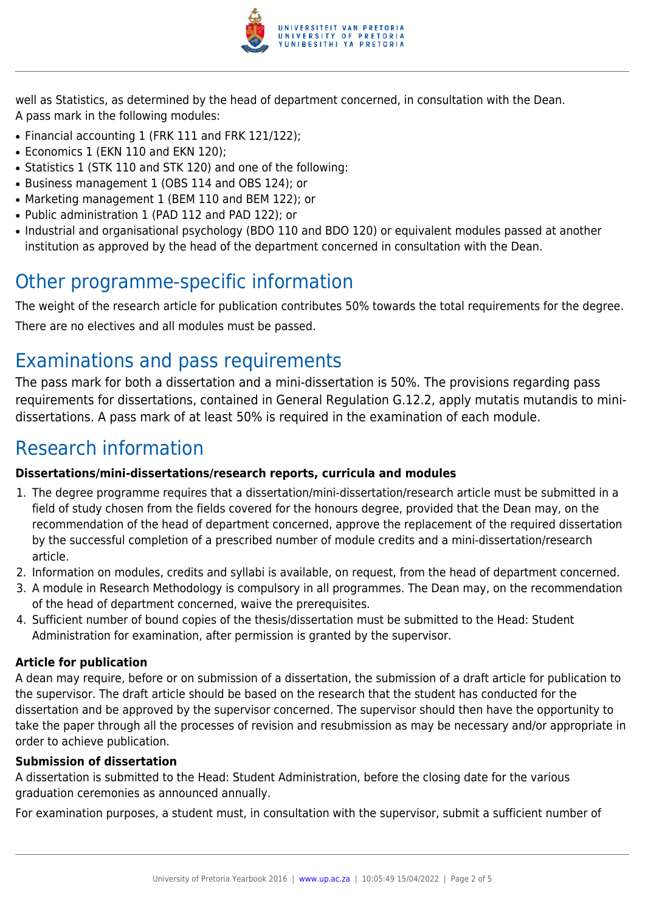

well as Statistics, as determined by the head of department concerned, in consultation with the Dean. A pass mark in the following modules:

- Financial accounting 1 (FRK 111 and FRK 121/122);
- Economics 1 (EKN 110 and EKN 120):
- Statistics 1 (STK 110 and STK 120) and one of the following:
- Business management 1 (OBS 114 and OBS 124); or
- Marketing management 1 (BEM 110 and BEM 122); or
- Public administration 1 (PAD 112 and PAD 122); or
- Industrial and organisational psychology (BDO 110 and BDO 120) or equivalent modules passed at another institution as approved by the head of the department concerned in consultation with the Dean.

### Other programme-specific information

The weight of the research article for publication contributes 50% towards the total requirements for the degree. There are no electives and all modules must be passed.

## Examinations and pass requirements

The pass mark for both a dissertation and a mini-dissertation is 50%. The provisions regarding pass requirements for dissertations, contained in General Regulation G.12.2, apply mutatis mutandis to minidissertations. A pass mark of at least 50% is required in the examination of each module.

## Research information

#### **Dissertations/mini-dissertations/research reports, curricula and modules**

- 1. The degree programme requires that a dissertation/mini-dissertation/research article must be submitted in a field of study chosen from the fields covered for the honours degree, provided that the Dean may, on the recommendation of the head of department concerned, approve the replacement of the required dissertation by the successful completion of a prescribed number of module credits and a mini-dissertation/research article.
- 2. Information on modules, credits and syllabi is available, on request, from the head of department concerned.
- 3. A module in Research Methodology is compulsory in all programmes. The Dean may, on the recommendation of the head of department concerned, waive the prerequisites.
- 4. Sufficient number of bound copies of the thesis/dissertation must be submitted to the Head: Student Administration for examination, after permission is granted by the supervisor.

#### **Article for publication**

A dean may require, before or on submission of a dissertation, the submission of a draft article for publication to the supervisor. The draft article should be based on the research that the student has conducted for the dissertation and be approved by the supervisor concerned. The supervisor should then have the opportunity to take the paper through all the processes of revision and resubmission as may be necessary and/or appropriate in order to achieve publication.

#### **Submission of dissertation**

A dissertation is submitted to the Head: Student Administration, before the closing date for the various graduation ceremonies as announced annually.

For examination purposes, a student must, in consultation with the supervisor, submit a sufficient number of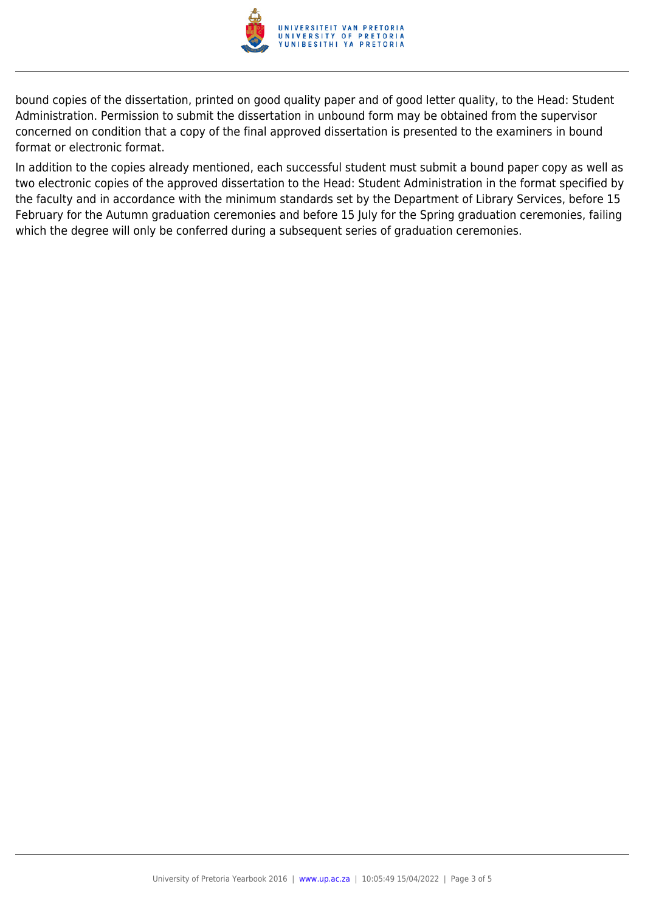

bound copies of the dissertation, printed on good quality paper and of good letter quality, to the Head: Student Administration. Permission to submit the dissertation in unbound form may be obtained from the supervisor concerned on condition that a copy of the final approved dissertation is presented to the examiners in bound format or electronic format.

In addition to the copies already mentioned, each successful student must submit a bound paper copy as well as two electronic copies of the approved dissertation to the Head: Student Administration in the format specified by the faculty and in accordance with the minimum standards set by the Department of Library Services, before 15 February for the Autumn graduation ceremonies and before 15 July for the Spring graduation ceremonies, failing which the degree will only be conferred during a subsequent series of graduation ceremonies.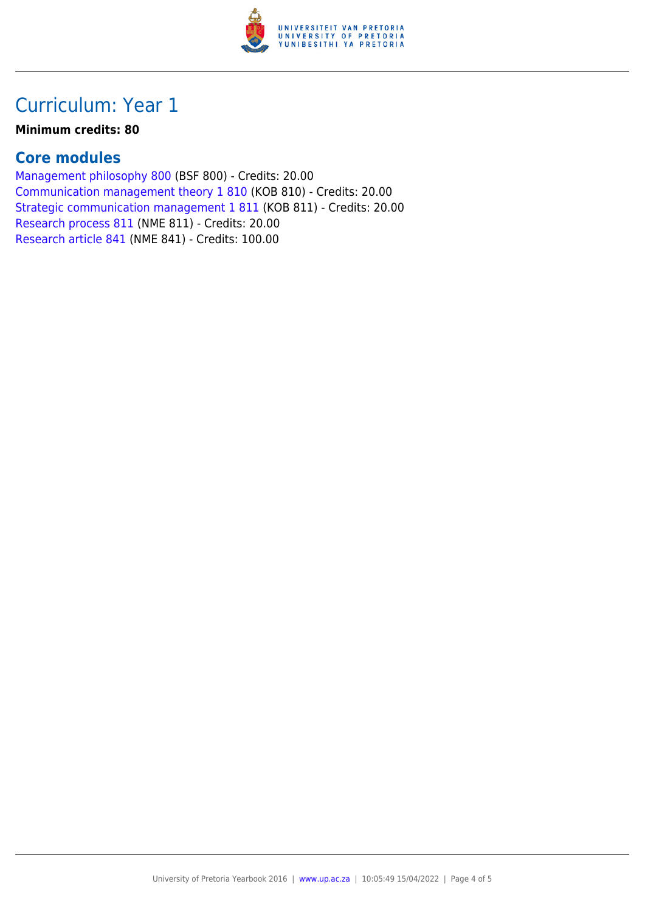

## Curriculum: Year 1

#### **Minimum credits: 80**

### **Core modules**

[Management philosophy 800](https://www.up.ac.za/yearbooks/2016/modules/view/BSF 800) (BSF 800) - Credits: 20.00 [Communication management theory 1 810](https://www.up.ac.za/yearbooks/2016/modules/view/KOB 810) (KOB 810) - Credits: 20.00 [Strategic communication management 1 811](https://www.up.ac.za/yearbooks/2016/modules/view/KOB 811) (KOB 811) - Credits: 20.00 [Research process 811](https://www.up.ac.za/yearbooks/2016/modules/view/NME 811) (NME 811) - Credits: 20.00 [Research article 841](https://www.up.ac.za/yearbooks/2016/modules/view/NME 841) (NME 841) - Credits: 100.00